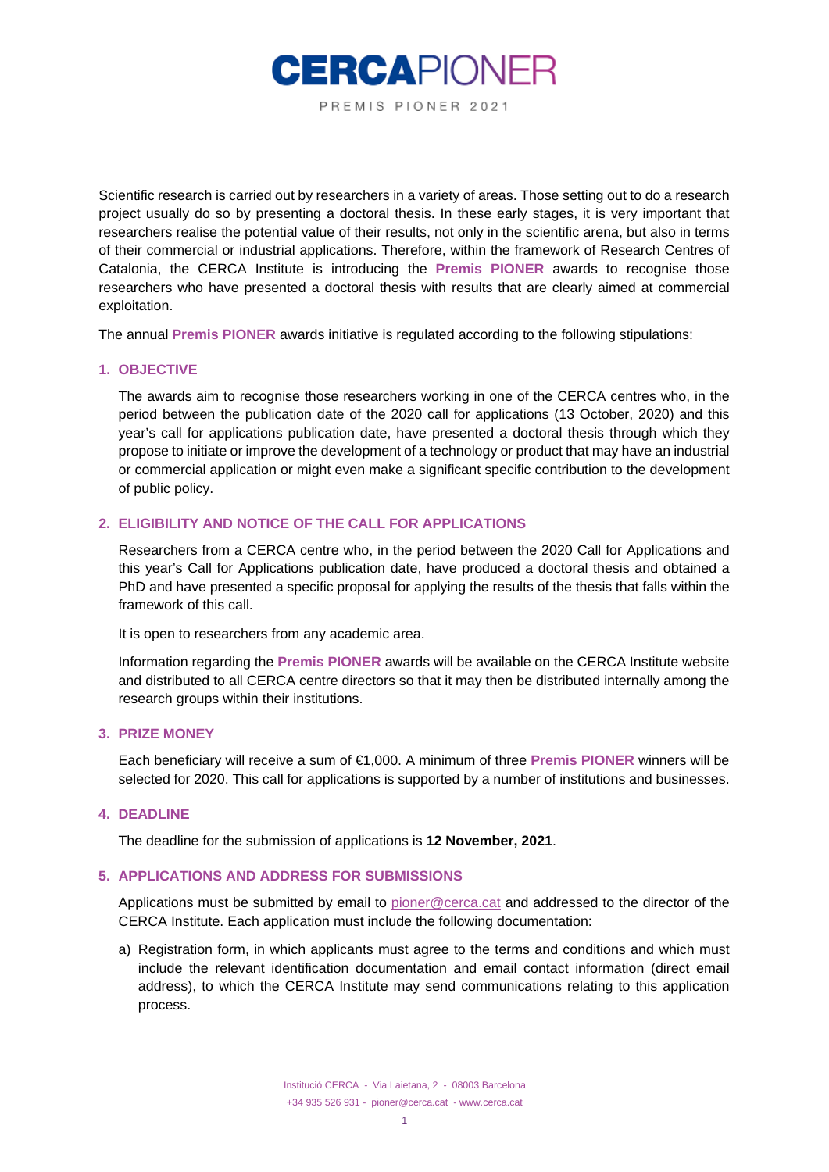

Scientific research is carried out by researchers in a variety of areas. Those setting out to do a research project usually do so by presenting a doctoral thesis. In these early stages, it is very important that researchers realise the potential value of their results, not only in the scientific arena, but also in terms of their commercial or industrial applications. Therefore, within the framework of Research Centres of Catalonia, the CERCA Institute is introducing the **Premis PIONER** awards to recognise those researchers who have presented a doctoral thesis with results that are clearly aimed at commercial exploitation.

The annual **Premis PIONER** awards initiative is regulated according to the following stipulations:

# **1. OBJECTIVE**

The awards aim to recognise those researchers working in one of the CERCA centres who, in the period between the publication date of the 2020 call for applications (13 October, 2020) and this year's call for applications publication date, have presented a doctoral thesis through which they propose to initiate or improve the development of a technology or product that may have an industrial or commercial application or might even make a significant specific contribution to the development of public policy.

# **2. ELIGIBILITY AND NOTICE OF THE CALL FOR APPLICATIONS**

Researchers from a CERCA centre who, in the period between the 2020 Call for Applications and this year's Call for Applications publication date, have produced a doctoral thesis and obtained a PhD and have presented a specific proposal for applying the results of the thesis that falls within the framework of this call.

It is open to researchers from any academic area.

Information regarding the **Premis PIONER** awards will be available on the CERCA Institute website and distributed to all CERCA centre directors so that it may then be distributed internally among the research groups within their institutions.

# **3. PRIZE MONEY**

Each beneficiary will receive a sum of €1,000. A minimum of three **Premis PIONER** winners will be selected for 2020. This call for applications is supported by a number of institutions and businesses.

# **4. DEADLINE**

The deadline for the submission of applications is **12 November, 2021**.

#### **5. APPLICATIONS AND ADDRESS FOR SUBMISSIONS**

Applications must be submitted by email to [pioner@cerca.cat](mailto:pioner@cerca.cat) and addressed to the director of the CERCA Institute. Each application must include the following documentation:

a) Registration form, in which applicants must agree to the terms and conditions and which must include the relevant identification documentation and email contact information (direct email address), to which the CERCA Institute may send communications relating to this application process.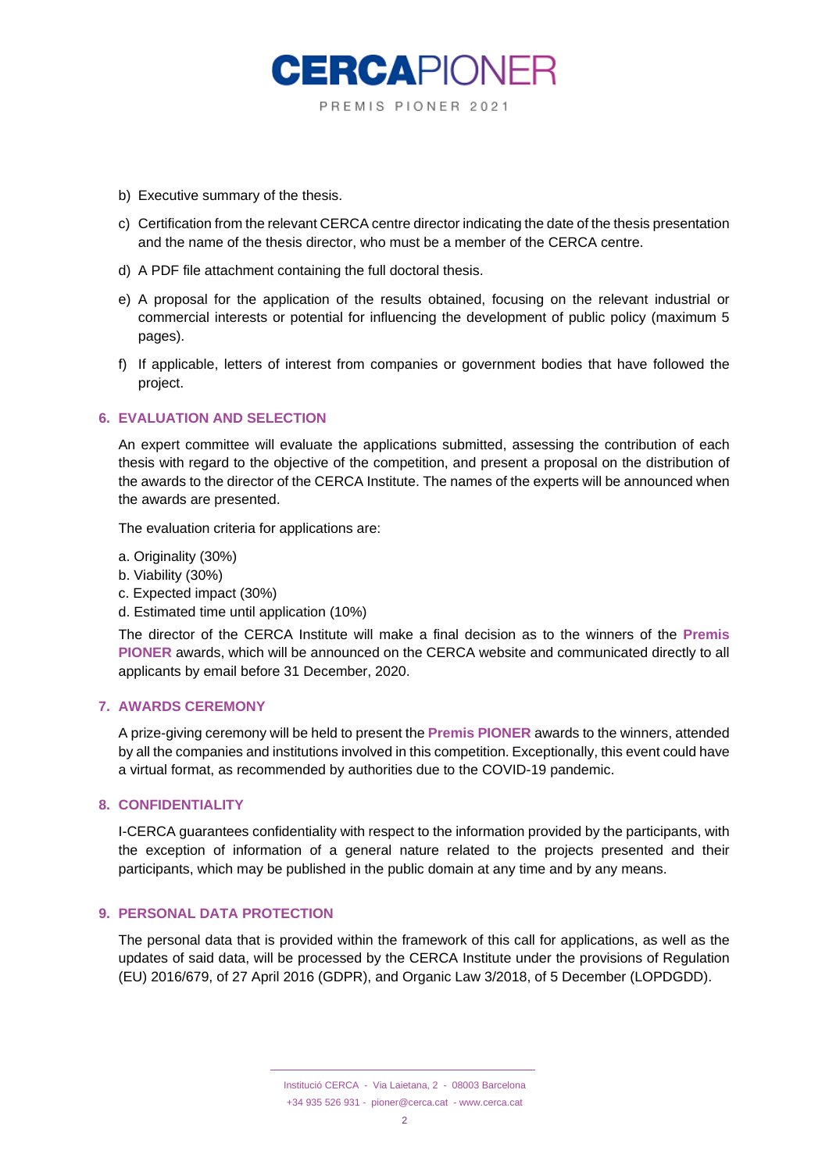

- b) Executive summary of the thesis.
- c) Certification from the relevant CERCA centre director indicating the date of the thesis presentation and the name of the thesis director, who must be a member of the CERCA centre.
- d) A PDF file attachment containing the full doctoral thesis.
- e) A proposal for the application of the results obtained, focusing on the relevant industrial or commercial interests or potential for influencing the development of public policy (maximum 5 pages).
- f) If applicable, letters of interest from companies or government bodies that have followed the project.

### **6. EVALUATION AND SELECTION**

An expert committee will evaluate the applications submitted, assessing the contribution of each thesis with regard to the objective of the competition, and present a proposal on the distribution of the awards to the director of the CERCA Institute. The names of the experts will be announced when the awards are presented.

The evaluation criteria for applications are:

- a. Originality (30%)
- b. Viability (30%)
- c. Expected impact (30%)
- d. Estimated time until application (10%)

The director of the CERCA Institute will make a final decision as to the winners of the **Premis PIONER** awards, which will be announced on the CERCA website and communicated directly to all applicants by email before 31 December, 2020.

#### **7. AWARDS CEREMONY**

A prize-giving ceremony will be held to present the **Premis PIONER** awards to the winners, attended by all the companies and institutions involved in this competition. Exceptionally, this event could have a virtual format, as recommended by authorities due to the COVID-19 pandemic.

#### **8. CONFIDENTIALITY**

I-CERCA guarantees confidentiality with respect to the information provided by the participants, with the exception of information of a general nature related to the projects presented and their participants, which may be published in the public domain at any time and by any means.

#### **9. PERSONAL DATA PROTECTION**

The personal data that is provided within the framework of this call for applications, as well as the updates of said data, will be processed by the CERCA Institute under the provisions of Regulation (EU) 2016/679, of 27 April 2016 (GDPR), and Organic Law 3/2018, of 5 December (LOPDGDD).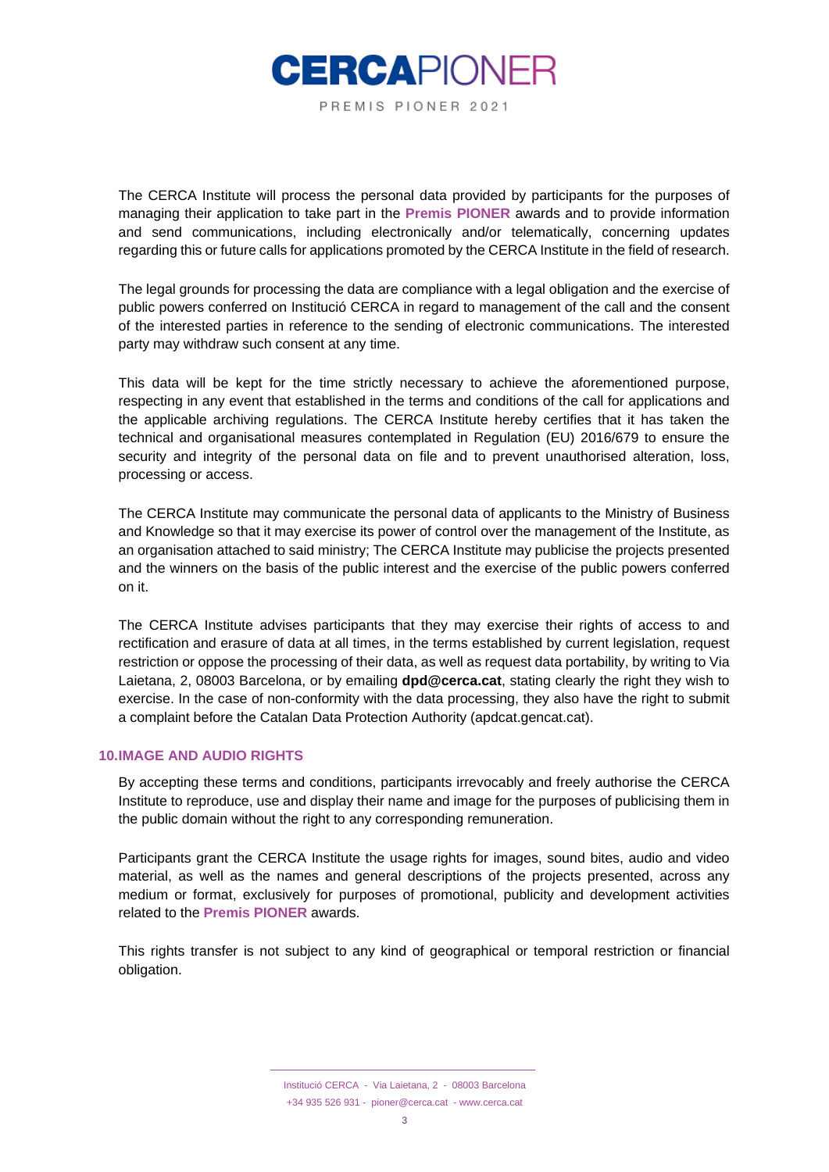

The CERCA Institute will process the personal data provided by participants for the purposes of managing their application to take part in the **Premis PIONER** awards and to provide information and send communications, including electronically and/or telematically, concerning updates regarding this or future calls for applications promoted by the CERCA Institute in the field of research.

The legal grounds for processing the data are compliance with a legal obligation and the exercise of public powers conferred on Institució CERCA in regard to management of the call and the consent of the interested parties in reference to the sending of electronic communications. The interested party may withdraw such consent at any time.

This data will be kept for the time strictly necessary to achieve the aforementioned purpose, respecting in any event that established in the terms and conditions of the call for applications and the applicable archiving regulations. The CERCA Institute hereby certifies that it has taken the technical and organisational measures contemplated in Regulation (EU) 2016/679 to ensure the security and integrity of the personal data on file and to prevent unauthorised alteration, loss, processing or access.

The CERCA Institute may communicate the personal data of applicants to the Ministry of Business and Knowledge so that it may exercise its power of control over the management of the Institute, as an organisation attached to said ministry; The CERCA Institute may publicise the projects presented and the winners on the basis of the public interest and the exercise of the public powers conferred on it.

The CERCA Institute advises participants that they may exercise their rights of access to and rectification and erasure of data at all times, in the terms established by current legislation, request restriction or oppose the processing of their data, as well as request data portability, by writing to Via Laietana, 2, 08003 Barcelona, or by emailing **dpd@cerca.cat**, stating clearly the right they wish to exercise. In the case of non-conformity with the data processing, they also have the right to submit a complaint before the Catalan Data Protection Authority (apdcat.gencat.cat).

### **10.IMAGE AND AUDIO RIGHTS**

By accepting these terms and conditions, participants irrevocably and freely authorise the CERCA Institute to reproduce, use and display their name and image for the purposes of publicising them in the public domain without the right to any corresponding remuneration.

Participants grant the CERCA Institute the usage rights for images, sound bites, audio and video material, as well as the names and general descriptions of the projects presented, across any medium or format, exclusively for purposes of promotional, publicity and development activities related to the **Premis PIONER** awards.

This rights transfer is not subject to any kind of geographical or temporal restriction or financial obligation.